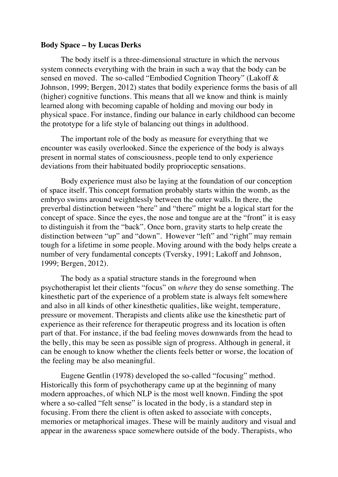#### **Body Space – by Lucas Derks**

The body itself is a three-dimensional structure in which the nervous system connects everything with the brain in such a way that the body can be sensed en moved. The so-called "Embodied Cognition Theory" (Lakoff & Johnson, 1999; Bergen, 2012) states that bodily experience forms the basis of all (higher) cognitive functions. This means that all we know and think is mainly learned along with becoming capable of holding and moving our body in physical space. For instance, finding our balance in early childhood can become the prototype for a life style of balancing out things in adulthood.

The important role of the body as measure for everything that we encounter was easily overlooked. Since the experience of the body is always present in normal states of consciousness, people tend to only experience deviations from their habituated bodily proprioceptic sensations.

Body experience must also be laying at the foundation of our conception of space itself. This concept formation probably starts within the womb, as the embryo swims around weightlessly between the outer walls. In there, the preverbal distinction between "here" and "there" might be a logical start for the concept of space. Since the eyes, the nose and tongue are at the "front" it is easy to distinguish it from the "back". Once born, gravity starts to help create the distinction between "up" and "down". However "left" and "right" may remain tough for a lifetime in some people. Moving around with the body helps create a number of very fundamental concepts (Tversky, 1991; Lakoff and Johnson, 1999; Bergen, 2012).

The body as a spatial structure stands in the foreground when psychotherapist let their clients "focus" on *where* they do sense something. The kinesthetic part of the experience of a problem state is always felt somewhere and also in all kinds of other kinesthetic qualities, like weight, temperature, pressure or movement. Therapists and clients alike use the kinesthetic part of experience as their reference for therapeutic progress and its location is often part of that. For instance, if the bad feeling moves downwards from the head to the belly, this may be seen as possible sign of progress. Although in general, it can be enough to know whether the clients feels better or worse, the location of the feeling may be also meaningful.

Eugene Gentlin (1978) developed the so-called "focusing" method. Historically this form of psychotherapy came up at the beginning of many modern approaches, of which NLP is the most well known. Finding the spot where a so-called "felt sense" is located in the body, is a standard step in focusing. From there the client is often asked to associate with concepts, memories or metaphorical images. These will be mainly auditory and visual and appear in the awareness space somewhere outside of the body. Therapists, who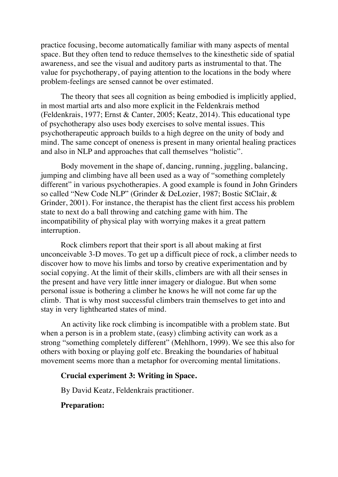practice focusing, become automatically familiar with many aspects of mental space. But they often tend to reduce themselves to the kinesthetic side of spatial awareness, and see the visual and auditory parts as instrumental to that. The value for psychotherapy, of paying attention to the locations in the body where problem-feelings are sensed cannot be over estimated.

The theory that sees all cognition as being embodied is implicitly applied, in most martial arts and also more explicit in the Feldenkrais method (Feldenkrais, 1977; Ernst & Canter, 2005; Keatz, 2014). This educational type of psychotherapy also uses body exercises to solve mental issues. This psychotherapeutic approach builds to a high degree on the unity of body and mind. The same concept of oneness is present in many oriental healing practices and also in NLP and approaches that call themselves "holistic".

Body movement in the shape of, dancing, running, juggling, balancing, jumping and climbing have all been used as a way of "something completely different" in various psychotherapies. A good example is found in John Grinders so called "New Code NLP" (Grinder & DeLozier, 1987; Bostic StClair, & Grinder, 2001). For instance, the therapist has the client first access his problem state to next do a ball throwing and catching game with him. The incompatibility of physical play with worrying makes it a great pattern interruption.

Rock climbers report that their sport is all about making at first unconceivable 3-D moves. To get up a difficult piece of rock, a climber needs to discover how to move his limbs and torso by creative experimentation and by social copying. At the limit of their skills, climbers are with all their senses in the present and have very little inner imagery or dialogue. But when some personal issue is bothering a climber he knows he will not come far up the climb. That is why most successful climbers train themselves to get into and stay in very lighthearted states of mind.

An activity like rock climbing is incompatible with a problem state. But when a person is in a problem state, (easy) climbing activity can work as a strong "something completely different" (Mehlhorn, 1999). We see this also for others with boxing or playing golf etc. Breaking the boundaries of habitual movement seems more than a metaphor for overcoming mental limitations.

### **Crucial experiment 3: Writing in Space.**

By David Keatz, Feldenkrais practitioner.

### **Preparation:**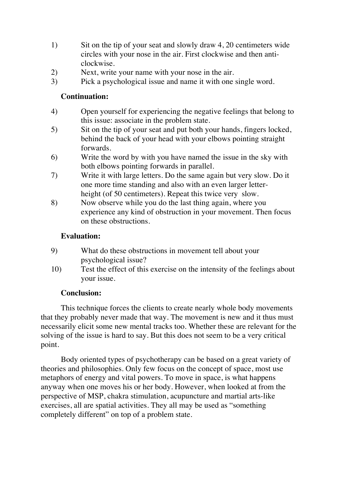- 1) Sit on the tip of your seat and slowly draw 4, 20 centimeters wide circles with your nose in the air. First clockwise and then anticlockwise.
- 2) Next, write your name with your nose in the air.
- 3) Pick a psychological issue and name it with one single word.

## **Continuation:**

- 4) Open yourself for experiencing the negative feelings that belong to this issue: associate in the problem state.
- 5) Sit on the tip of your seat and put both your hands, fingers locked, behind the back of your head with your elbows pointing straight forwards.
- 6) Write the word by with you have named the issue in the sky with both elbows pointing forwards in parallel.
- 7) Write it with large letters. Do the same again but very slow. Do it one more time standing and also with an even larger letterheight (of 50 centimeters). Repeat this twice very slow.
- 8) Now observe while you do the last thing again, where you experience any kind of obstruction in your movement. Then focus on these obstructions.

## **Evaluation:**

- 9) What do these obstructions in movement tell about your psychological issue?
- 10) Test the effect of this exercise on the intensity of the feelings about your issue.

# **Conclusion:**

This technique forces the clients to create nearly whole body movements that they probably never made that way. The movement is new and it thus must necessarily elicit some new mental tracks too. Whether these are relevant for the solving of the issue is hard to say. But this does not seem to be a very critical point.

Body oriented types of psychotherapy can be based on a great variety of theories and philosophies. Only few focus on the concept of space, most use metaphors of energy and vital powers. To move in space, is what happens anyway when one moves his or her body. However, when looked at from the perspective of MSP, chakra stimulation, acupuncture and martial arts-like exercises, all are spatial activities. They all may be used as "something completely different" on top of a problem state.